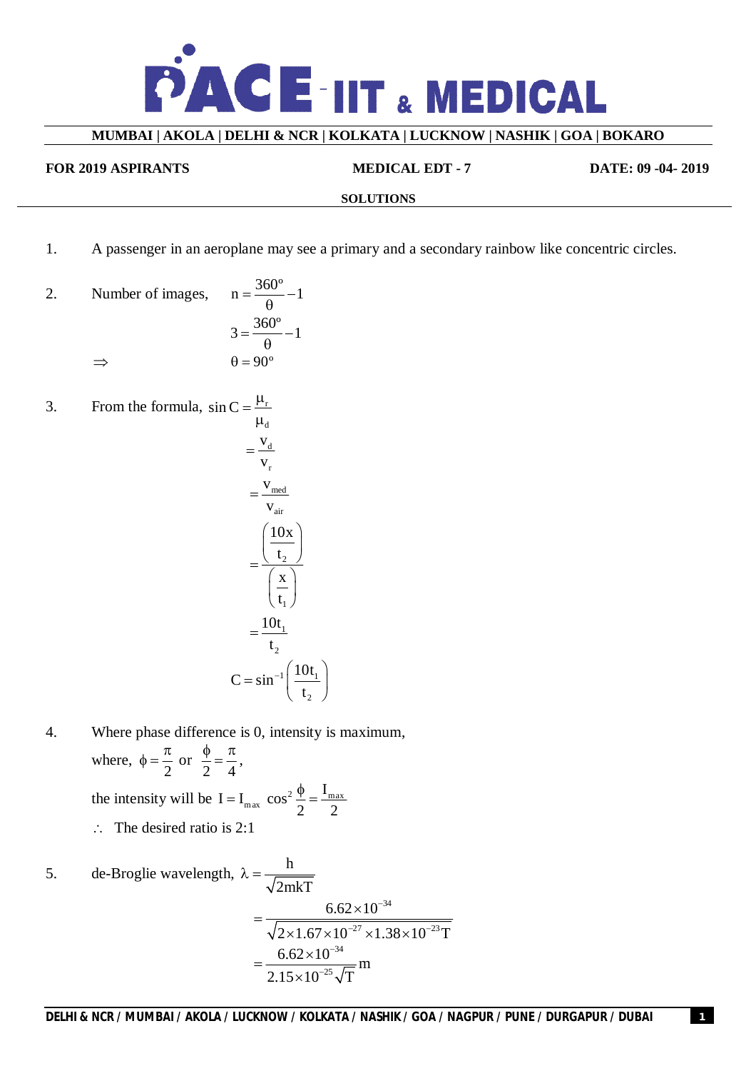

#### **MUMBAI | AKOLA | DELHI & NCR | KOLKATA | LUCKNOW | NASHIK | GOA | BOKARO**

#### **FOR 2019 ASPIRANTS MEDICAL EDT - 7 DATE: 09 -04- 2019**

#### **SOLUTIONS**

1. A passenger in an aeroplane may see a primary and a secondary rainbow like concentric circles.

2. Number of images, 
$$
n = \frac{360^{\circ}}{\theta} - 1
$$

$$
3 = \frac{360^{\circ}}{\theta} - 1
$$

$$
\Rightarrow \qquad \theta = 90^{\circ}
$$

3. From the formula,  $\sin C = \frac{\mu_r}{\sigma}$ 

$$
\mu_{d}
$$
\n
$$
= \frac{v_{d}}{v_{r}}
$$
\n
$$
= \frac{v_{med}}{v_{air}}
$$
\n
$$
= \frac{\left(\frac{10x}{t_{2}}\right)}{\left(\frac{x}{t_{1}}\right)}
$$
\n
$$
= \frac{10t_{1}}{t_{2}}
$$
\n
$$
C = \sin^{-1}\left(\frac{10t_{1}}{t_{2}}\right)
$$

- 4. Where phase difference is 0, intensity is maximum, where, 2  $\phi = \frac{\pi}{2}$  or 2 4  $\frac{\phi}{\phi} = \frac{\pi}{4}$ the intensity will be  $I = I_{max} \cos^2 \frac{\varphi}{2} = \frac{I_{max}}{2}$  $I = I_{max} \cos^2 \frac{\phi}{2} = \frac{I}{I}$ 2 2  $=$  I<sub>max</sub>  $\cos^2 \frac{\phi}{2} = \frac{1}{2}$  $\therefore$  The desired ratio is 2:1
- 5. de-Broglie wavelength,  $\lambda = \frac{h}{\sqrt{2}}$ 2mkT  $\lambda = -$ 34  $^{27}$   $\cdot$  1.29  $\cdot$  1.0<sup>-23</sup>  $6.62 \times 10$  $2 \times 1.67 \times 10^{-27} \times 1.38 \times 10^{-23}$ T - $-27$   $\sqrt{1}$  29 $\sqrt{10^{-2}}$  $=\frac{6.62\times}{\sqrt{1-\frac{3}{2}}}\times\frac{2}{2}$  $\times1.67\times10^{-27}\times1.38\times1$ 34 25  $6.62 \times 10$ m  $2.15 \times 10^{-25} \sqrt{T}$ -- $=\frac{6.62\times}{10^{-4}}$  $\times$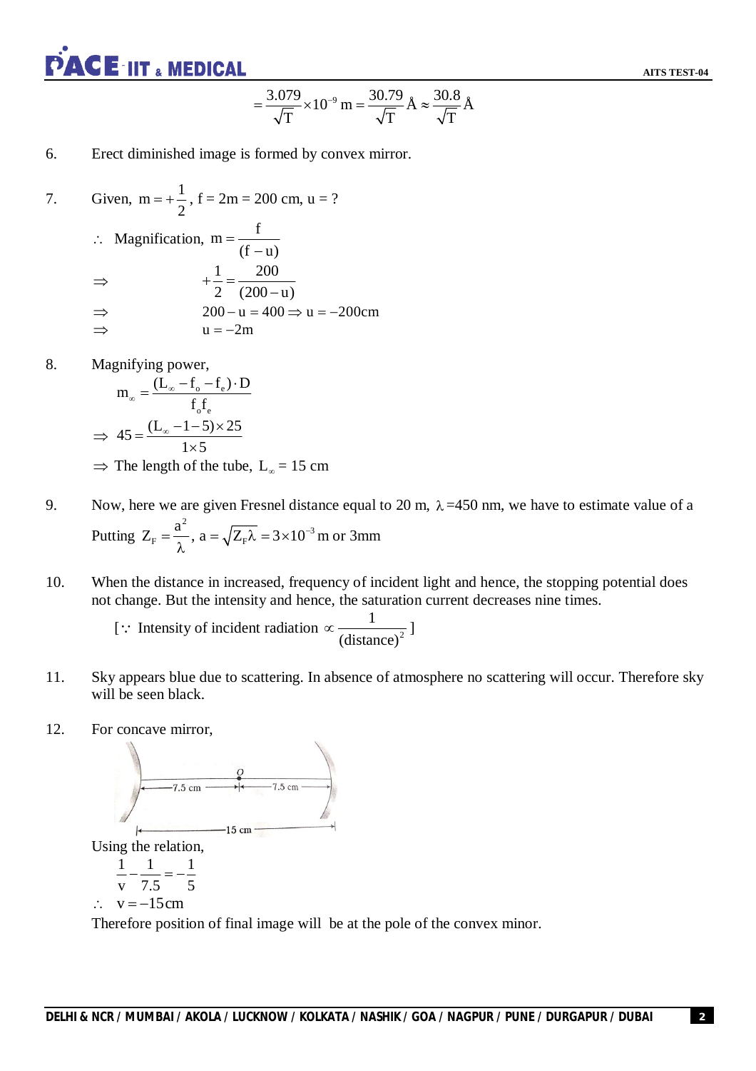

**AITS TEST-04**

$$
=\frac{3.079}{\sqrt{T}}\times 10^{-9} \text{ m} = \frac{30.79}{\sqrt{T}} \text{\AA} \approx \frac{30.8}{\sqrt{T}} \text{\AA}
$$

#### 6. Erect diminished image is formed by convex mirror.

7. Given, 
$$
m = +\frac{1}{2}
$$
,  $f = 2m = 200$  cm,  $u = ?$   
\n
$$
\therefore
$$
 Magnification,  $m = \frac{f}{(f - u)}$   
\n
$$
\Rightarrow +\frac{1}{2} = \frac{200}{(200 - u)}
$$
  
\n
$$
\Rightarrow 200 - u = 400 \Rightarrow u = -200
$$
cm  
\n
$$
\Rightarrow u = -2m
$$

8. Magnifying power,

$$
m_{\infty} = \frac{(L_{\infty} - f_{e} - f_{e}) \cdot D}{f_{o}f_{e}}
$$
  
\n
$$
\Rightarrow 45 = \frac{(L_{\infty} - 1 - 5) \times 25}{1 \times 5}
$$
  
\n
$$
\Rightarrow
$$
 The length of the tube, L<sub>\infty</sub> = 15 cm

- 9. Now, here we are given Fresnel distance equal to 20 m,  $\lambda = 450$  nm, we have to estimate value of a Putting <sup>2</sup>  $\sqrt{7}$   $\sqrt{2}$   $\sqrt{2}$   $\sqrt{10^{-3}}$  $F = \gamma$ ,  $\mu = \sqrt{\frac{L}{F}}$  $Z_{\rm F} = \frac{a^2}{2}$ ,  $a = \sqrt{Z_{\rm F} \lambda} = 3 \times 10^{-1}$  $\lambda$ m or 3mm
- 10. When the distance in increased, frequency of incident light and hence, the stopping potential does not change. But the intensity and hence, the saturation current decreases nine times.

[ : Intensity of incident radiation  $\propto \frac{1}{(distance)^2}$ (distance)  $\propto \frac{1}{\sqrt{11-\frac{1}{\sqrt{2}}}}$ 

- 11. Sky appears blue due to scattering. In absence of atmosphere no scattering will occur. Therefore sky will be seen black.
- 12. For concave mirror,



Therefore position of final image will be at the pole of the convex minor.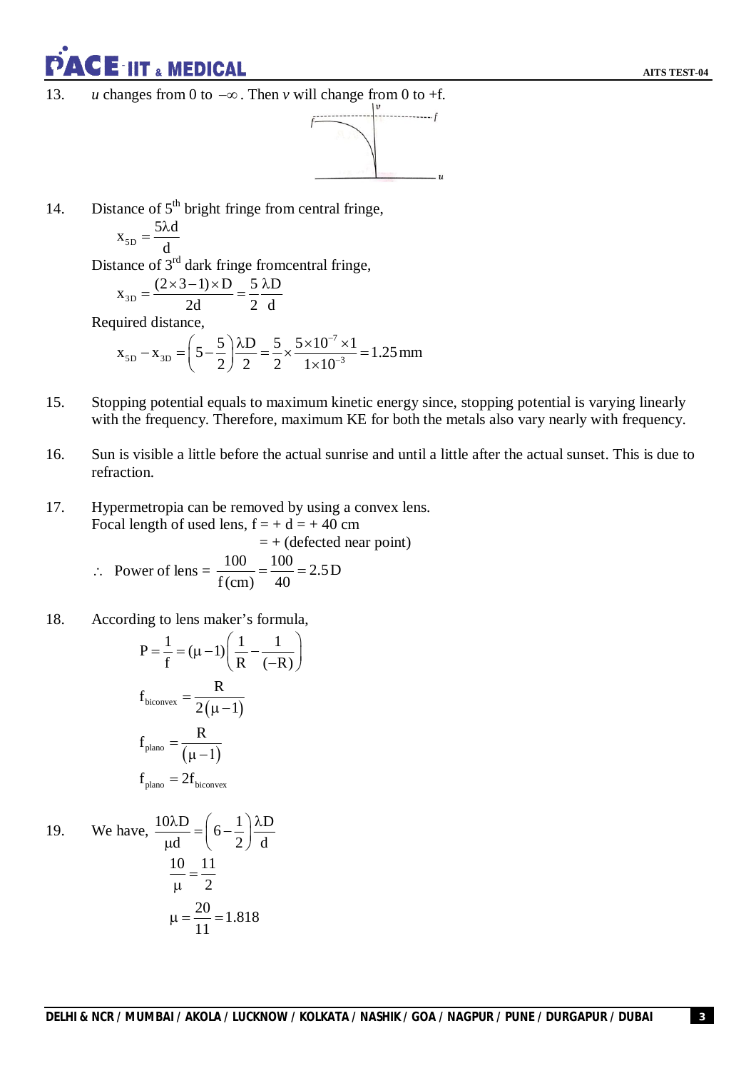CE<sup>-</sup>IIT & MEDICAL

13. *u* changes from 0 to  $-\infty$ . Then *v* will change from 0 to +f.



14. Distance of  $5<sup>th</sup>$  bright fringe from central fringe,

$$
x_{5D} = \frac{5\lambda d}{d}
$$

Distance of 3<sup>rd</sup> dark fringe fromcentral fringe,

$$
x_{3D} = \frac{(2 \times 3 - 1) \times D}{2d} = \frac{5}{2} \frac{\lambda D}{d}
$$

Required distance,

$$
x_{5D} - x_{3D} = \left(5 - \frac{5}{2}\right) \frac{\lambda D}{2} = \frac{5}{2} \times \frac{5 \times 10^{-7} \times 1}{1 \times 10^{-3}} = 1.25 \text{ mm}
$$

- 15. Stopping potential equals to maximum kinetic energy since, stopping potential is varying linearly with the frequency. Therefore, maximum KE for both the metals also vary nearly with frequency.
- 16. Sun is visible a little before the actual sunrise and until a little after the actual sunset. This is due to refraction.
- 17. Hypermetropia can be removed by using a convex lens. Focal length of used lens,  $f = + d = +40$  cm  $= +$  (defected near point)

:. Power of lens = 
$$
\frac{100}{f(cm)} = \frac{100}{40} = 2.5D
$$

18. According to lens maker's formula,

$$
P = \frac{1}{f} = (\mu - 1) \left( \frac{1}{R} - \frac{1}{(-R)} \right)
$$
  

$$
f_{\text{biconvex}} = \frac{R}{2(\mu - 1)}
$$
  

$$
f_{\text{plano}} = \frac{R}{(\mu - 1)}
$$
  

$$
f_{\text{plano}} = 2f_{\text{biconvex}}
$$

19. We have, 
$$
\frac{10\lambda D}{\mu d} = \left(6 - \frac{1}{2}\right) \frac{\lambda D}{d}
$$

$$
\frac{10}{\mu} = \frac{11}{2}
$$

$$
\mu = \frac{20}{11} = 1.818
$$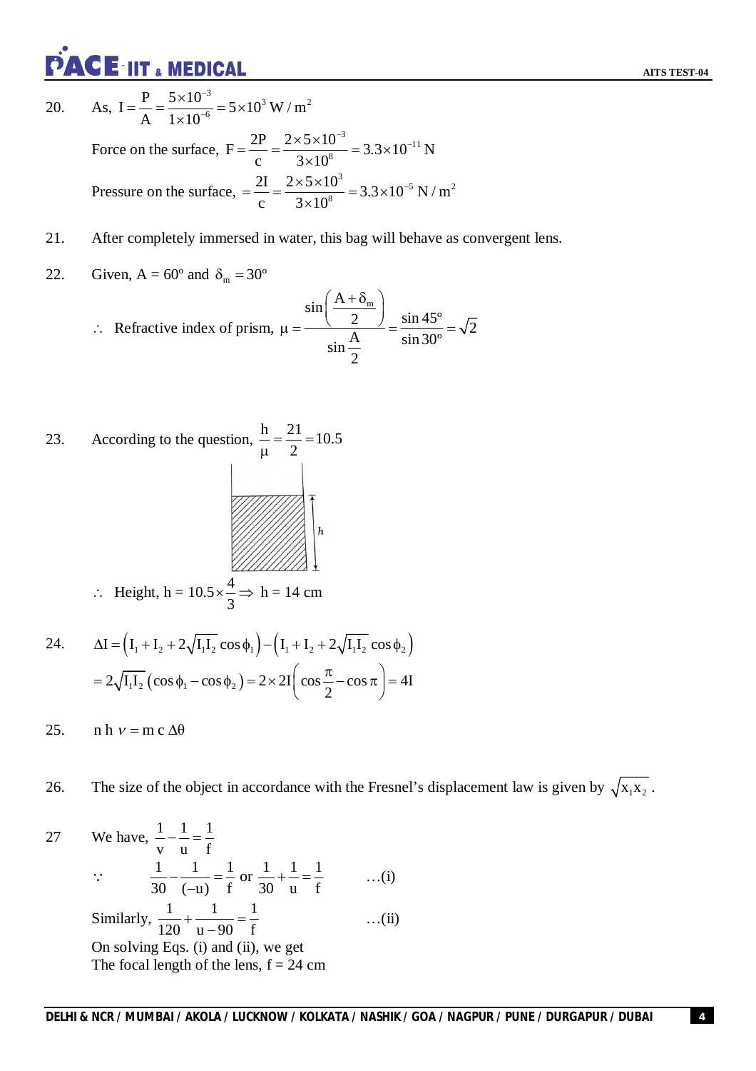**PACE IIT & MEDICAL** 

20. As,  $\frac{3}{2}$  = 5 \simple 10<sup>3</sup> W / m<sup>2</sup>  $I = \frac{P}{\Lambda} = \frac{5 \times 10^{-3}}{1 \times 10^{-6}} = 5 \times 10^{3}$  W / m A  $1 \times 10$ -- $=\frac{P}{1}=\frac{5\times10^{-3}}{1+10^{-6}}=5\times1$  $\times$ Force on the surface,  $\frac{3}{2}$  2 2 \times 10<sup>-11</sup>  $F = \frac{2P}{g} = \frac{2 \times 5 \times 10^{-3}}{3 \times 10^8} = 3.3 \times 10^{-11} N$ c  $3 \times 10$  $=\frac{2P}{2P}=\frac{2\times5\times10^{-3}}{2\times10^{8}}=3.3\times10^{-7}$  $\times$ 

Pressure on the surface, 
$$
=\frac{2I}{c} = \frac{2 \times 5 \times 10^3}{3 \times 10^8} = 3.3 \times 10^{-5} \text{ N/m}^2
$$

- 21. After completely immersed in water, this bag will behave as convergent lens.
- 22. Given,  $A = 60^{\circ}$  and  $\delta_{m} = 30^{\circ}$

$$
\therefore \text{ Refractive index of prism, } \mu = \frac{\sin\left(\frac{A + \delta_m}{2}\right)}{\sin\frac{A}{2}} = \frac{\sin 45^{\circ}}{\sin 30^{\circ}} = \sqrt{2}
$$

- 23. According to the question,  $\frac{h}{c} = \frac{21}{2} = 10.5$  $=\frac{24}{3}=1$  $\mu$ 2  $\therefore$  Height, h = 10.5  $\times \frac{4}{3}$  $\times \frac{1}{2} \implies h = 14 \text{ cm}$
- 24. I I I 2 I I cos I I 2 I I cos 1 2 1 2 1 1 2 1 2 2  $2\sqrt{I_1I_2}(\cos\phi_1-\cos\phi_2)=2\times 2I(\cos\frac{\pi}{2}-\cos\pi)=4I$ =  $2\sqrt{I_1I_2}(\cos\phi_1-\cos\phi_2)$  =  $2\times 2I(\cos\frac{\pi}{2}-\cos\pi)$  = 4

3

25. n h  $v = m c \Delta \theta$ 

26. The size of the object in accordance with the Fresnel's displacement law is given by  $\sqrt{x_1 x_2}$ .

27 We have, 
$$
\frac{1}{v} - \frac{1}{u} = \frac{1}{f}
$$
  
\n $\therefore \frac{1}{30} - \frac{1}{(-u)} = \frac{1}{f}$  or  $\frac{1}{30} + \frac{1}{u} = \frac{1}{f}$  ...(i)  
\nSimilarly,  $\frac{1}{120} + \frac{1}{u} = \frac{1}{f}$  ...(ii)  
\nOn solving Eqs. (i) and (ii), we get  
\nThe focal length of the lens, f = 24 cm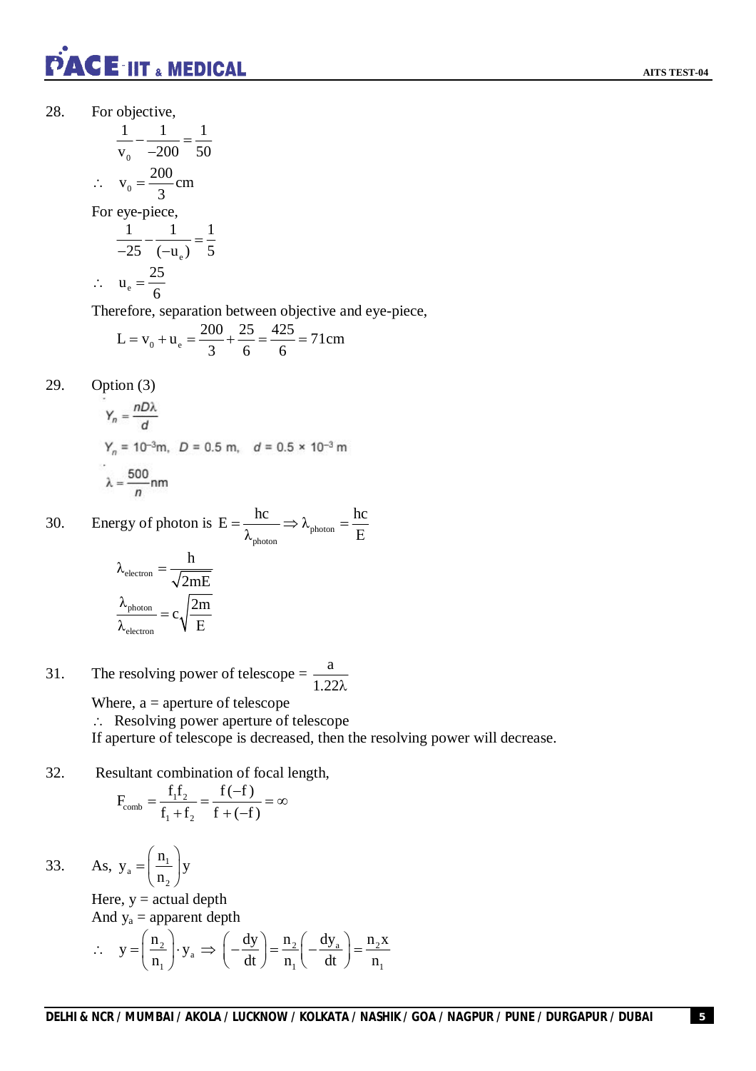

28. For objective,

$$
\frac{1}{v_0} - \frac{1}{-200} = \frac{1}{50}
$$
  
\n
$$
\therefore v_0 = \frac{200}{3} \text{cm}
$$
  
\nFor eye-piece,  
\n
$$
\frac{1}{-25} - \frac{1}{(-u_e)} = \frac{1}{5}
$$
  
\n
$$
\therefore u_e = \frac{25}{-1}
$$

$$
u_e = \frac{25}{6}
$$

Therefore, separation between objective and eye-piece,

$$
L = v_0 + u_e = \frac{200}{3} + \frac{25}{6} = \frac{425}{6} = 71 \text{cm}
$$

29. Option (3)

$$
Y_n = \frac{nDλ}{d}
$$
  
\n
$$
Y_n = 10^{-3}m, \quad D = 0.5 \text{ m}, \quad d = 0.5 \times 10^{-3} \text{ m}
$$
  
\n
$$
λ = \frac{500}{n} \text{ nm}
$$

30. Energy of photon is  $E = \frac{hc}{\lambda} \Rightarrow \lambda_{photon}$ photon  $E = \frac{hc}{\lambda} \Rightarrow \lambda_{\text{photon}} = \frac{hc}{E}$  $\lambda_{\text{photon}}$  Pnoton  $E$  $=\frac{1}{2}$   $\Rightarrow \lambda_{\text{photon}} = -$ 

$$
\lambda_{\text{electron}} = \frac{h}{\sqrt{2mE}}
$$

$$
\frac{\lambda_{\text{photon}}}{\lambda_{\text{electron}}} = c \sqrt{\frac{2m}{E}}
$$

31. The resolving power of telescope = 
$$
\frac{a}{1.22\lambda}
$$

Where,  $a =$  aperture of telescope

Resolving power aperture of telescope

If aperture of telescope is decreased, then the resolving power will decrease.

32. Resultant combination of focal length,

$$
F_{\text{comb}} = \frac{f_1 f_2}{f_1 + f_2} = \frac{f(-f)}{f + (-f)} = \infty
$$

33. As,  $y_a = \frac{m_1}{n_2}$ 2  $y_a = \left(\frac{n_1}{n_2}\right)y$ n  $(n_{1})$  $=\left(\frac{n_1}{n_2}\right)y$ 

> Here,  $y = actual$  depth And  $y_a$  = apparent depth

$$
\therefore \quad y = \left(\frac{n_2}{n_1}\right) \cdot y_a \implies \left(-\frac{dy}{dt}\right) = \frac{n_2}{n_1}\left(-\frac{dy_a}{dt}\right) = \frac{n_2 x}{n_1}
$$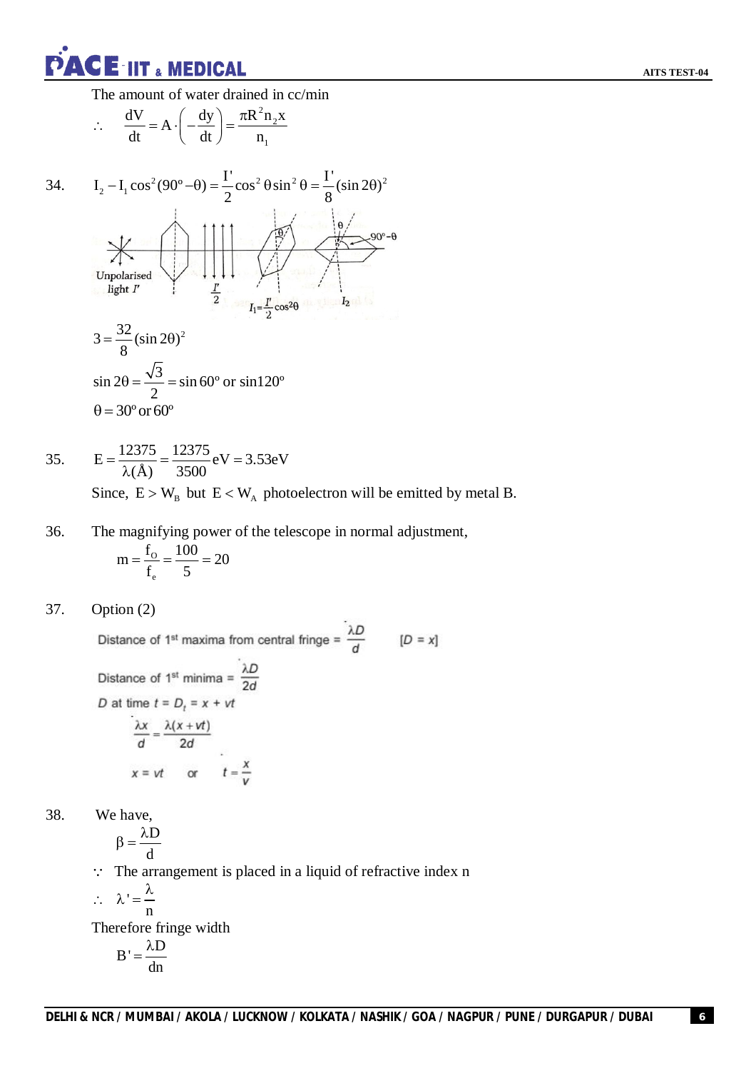**PACE-IIT & MEDICAL** 

The amount of water drained in cc/min

$$
\therefore \quad \frac{dV}{dt} = A \cdot \left( -\frac{dy}{dt} \right) = \frac{\pi R^2 n_2 x}{n_1}
$$

34. 
$$
I_2 - I_1 \cos^2(90^\circ - \theta) = \frac{1}{2} \cos^2 \theta \sin^2 \theta = \frac{1}{8} (\sin 2\theta)^2
$$
  
\n
$$
\frac{1}{2} \cos^2 \theta \sin^2 \theta = \frac{1}{8} (\sin 2\theta)^2
$$
  
\n
$$
J_1 = \frac{1}{2} \cos^2 \theta \cos^2 \theta
$$
  
\n
$$
J_2 = \frac{32}{8} (\sin 2\theta)^2
$$
  
\n
$$
\sin 2\theta = \frac{\sqrt{3}}{2} = \sin 60^\circ \text{ or } \sin 120^\circ
$$
  
\n
$$
\theta = 30^\circ \text{ or } 60^\circ
$$

35. 
$$
E = \frac{12375}{\lambda(\text{\AA})} = \frac{12375}{3500} \text{eV} = 3.53 \text{eV}
$$
  
Since  $E > W$  but  $E < W$  photoelectron will be

Since,  $E > W_B$  but  $E < W_A$  photoelectron will be emitted by metal B.

36. The magnifying power of the telescope in normal adjustment,

$$
m = \frac{f_o}{f_e} = \frac{100}{5} = 20
$$

$$
37. \qquad \text{Option (2)}
$$

Distance of 1<sup>st</sup> maxima from central fringe =  $\frac{\lambda D}{d}$  [D = x]

Distance of 1<sup>st</sup> minima =  $\frac{\lambda D}{2d}$ D at time  $t = D_t = x + vt$  $\frac{\lambda x}{d} = \frac{\lambda(x+vt)}{2d}$  $x = vt$  or  $t = \frac{x}{v}$ 

38. We have,

$$
\beta = \frac{\lambda D}{d}
$$

 $\therefore$  The arrangement is placed in a liquid of refractive index n

$$
\therefore \quad \lambda' = \frac{\lambda}{\lambda}
$$

n Therefore fringe width

$$
B'=\frac{\lambda D}{dn}
$$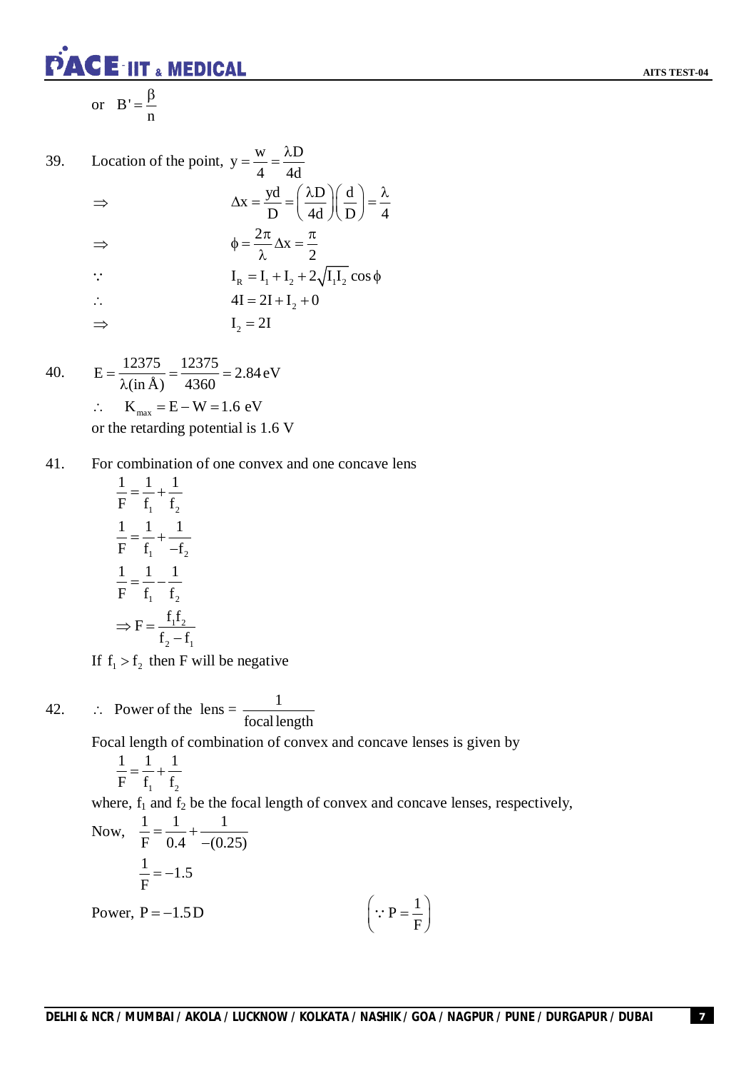

39. Location of the point, 
$$
y = \frac{w}{4} = \frac{\lambda D}{4d}
$$
  
\n
$$
\Rightarrow \qquad \Delta x = \frac{yd}{D} = \left(\frac{\lambda D}{4d}\right)\left(\frac{d}{D}\right) = \frac{\lambda}{4}
$$
\n
$$
\Rightarrow \qquad \phi = \frac{2\pi}{\lambda} \Delta x = \frac{\pi}{2}
$$
\n
$$
\therefore \qquad I_{R} = I_{1} + I_{2} + 2\sqrt{I_{1}I_{2}} \cos \phi
$$
\n
$$
\therefore \qquad I_{R} = 2I + I_{2} + 0
$$
\n
$$
\Rightarrow \qquad I_{2} = 2I
$$

40. 
$$
E = \frac{12375}{\lambda (\text{in} \,\text{\AA})} = \frac{12375}{4360} = 2.84 \text{ eV}
$$
  
\n $\therefore \quad K_{\text{max}} = E - W = 1.6 \text{ eV}$   
\nor the retarding potential is 1.6 V

41. For combination of one convex and one concave lens

$$
\frac{1}{F} = \frac{1}{f_1} + \frac{1}{f_2}
$$

$$
\frac{1}{F} = \frac{1}{f_1} + \frac{1}{-f_2}
$$

$$
\frac{1}{F} = \frac{1}{f_1} - \frac{1}{f_2}
$$

$$
\Rightarrow F = \frac{f_1 f_2}{f_2 - f_1}
$$

If  $f_1 > f_2$  then F will be negative

42.  $\therefore$  Power of the lens =  $\frac{1}{2}$ focal length

Focal length of combination of convex and concave lenses is given by

$$
\frac{1}{F} = \frac{1}{f_1} + \frac{1}{f_2}
$$

where,  $f_1$  and  $f_2$  be the focal length of convex and concave lenses, respectively,

Now, 
$$
\frac{1}{F} = \frac{1}{0.4} + \frac{1}{-(0.25)}
$$
  
 $\frac{1}{F} = -1.5$   
Power, P = -1.5D  $(\because P = \frac{1}{F})$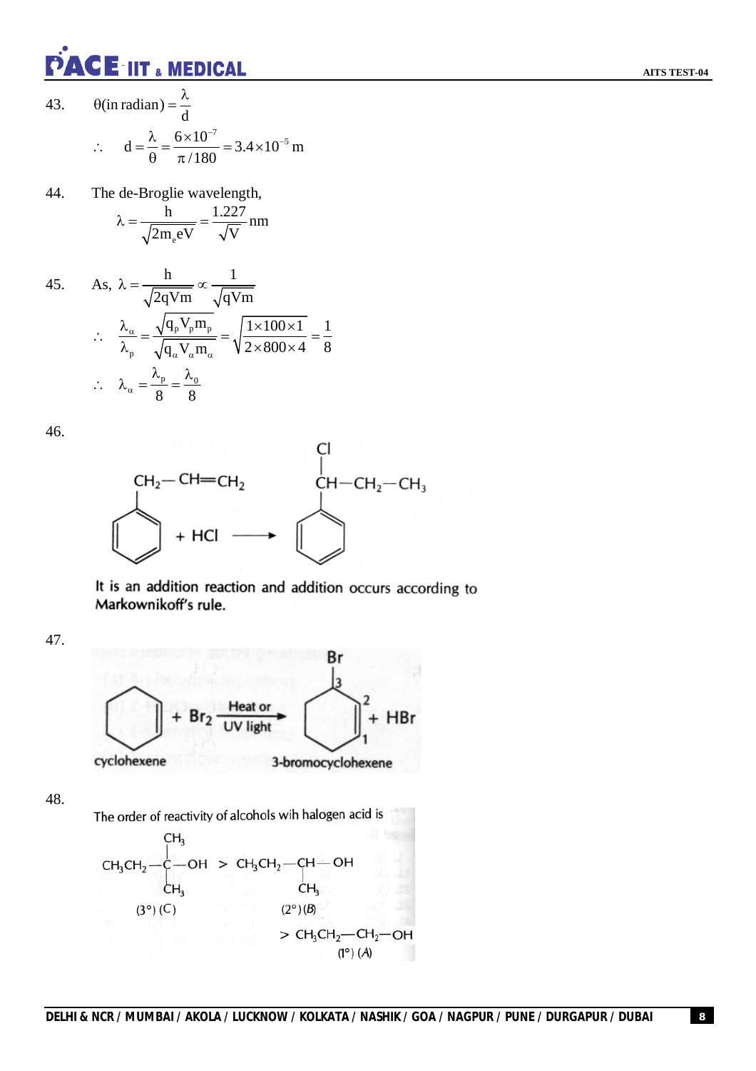

43. 
$$
\theta(\text{in radian}) = \frac{\lambda}{d}
$$
  
\n
$$
\therefore d = \frac{\lambda}{\theta} = \frac{6 \times 10^{-7}}{\pi/180} = 3.4 \times 10^{-5} \text{ m}
$$

44. The de-Broglie wavelength,

$$
\lambda = \frac{h}{\sqrt{2m_e eV}} = \frac{1.227}{\sqrt{V}} \text{ nm}
$$

45. As, 
$$
\lambda = \frac{h}{\sqrt{2qVm}} \propto \frac{1}{\sqrt{qVm}}
$$
  
\n
$$
\therefore \frac{\lambda_{\alpha}}{\lambda_{p}} = \frac{\sqrt{q_{p}V_{p}m_{p}}}{\sqrt{q_{\alpha}V_{\alpha}m_{\alpha}}} = \sqrt{\frac{1 \times 100 \times 1}{2 \times 800 \times 4}} = \frac{1}{8}
$$
\n
$$
\therefore \lambda_{\alpha} = \frac{\lambda_{p}}{8} = \frac{\lambda_{0}}{8}
$$

46.



It is an addition reaction and addition occurs according to Markownikoff's rule.

47.



48.

The order of reactivity of alcohols wih halogen acid is

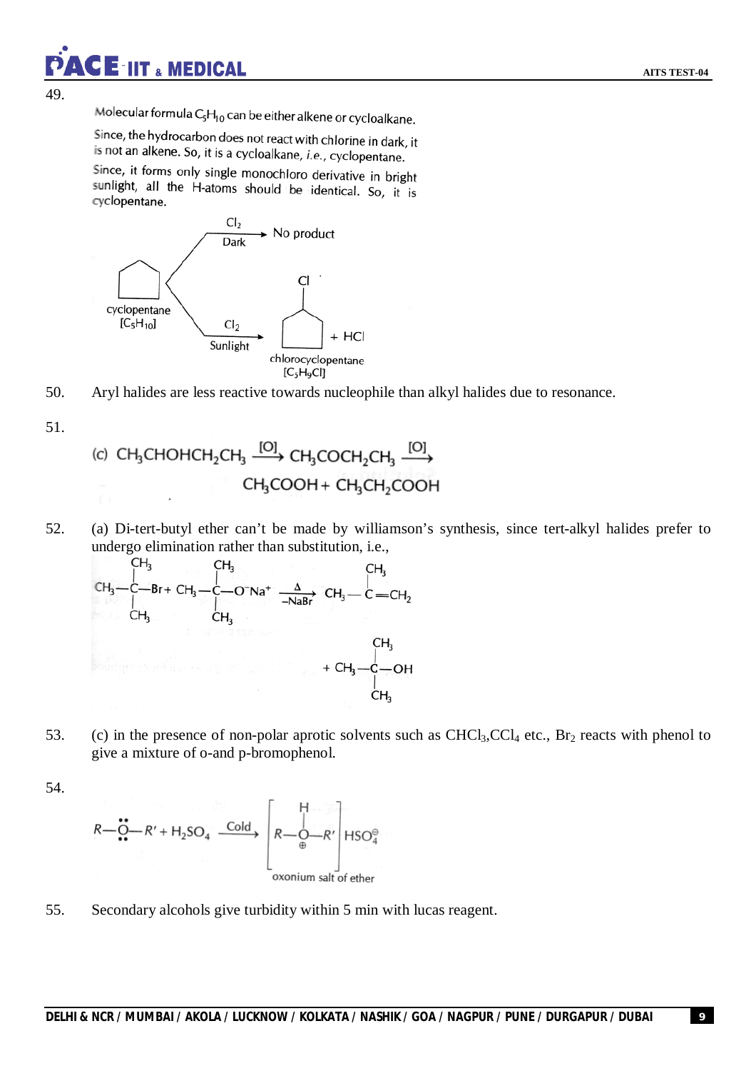49.

Molecular formula  $C_5H_{10}$  can be either alkene or cycloalkane.

**CE-IIT & MEDICAL** 

Since, the hydrocarbon does not react with chlorine in dark, it is not an alkene. So, it is a cycloalkane, *i.e.*, cyclopentane.

Since, it forms only single monochloro derivative in bright sunlight, all the H-atoms should be identical. So, it is cyclopentane.



50. Aryl halides are less reactive towards nucleophile than alkyl halides due to resonance.

51.

(c) CH<sub>3</sub>CHOHCH<sub>2</sub>CH<sub>3</sub> 
$$
\xrightarrow{[O]}
$$
 CH<sub>3</sub>COCH<sub>2</sub>CH<sub>3</sub>  $\xrightarrow{[O]}$   
CH<sub>3</sub>COOH + CH<sub>3</sub>CH<sub>2</sub>COOH

52. (a) Di-tert-butyl ether can't be made by williamson's synthesis, since tert-alkyl halides prefer to undergo elimination rather than substitution, i.e.,

$$
CH_3
$$
\n
$$
CH_3
$$
\n
$$
CH_3
$$
\n
$$
CH_3
$$
\n
$$
CH_3
$$
\n
$$
CH_3
$$
\n
$$
CH_3
$$
\n
$$
CH_3
$$
\n
$$
CH_3
$$
\n
$$
CH_3
$$
\n
$$
CH_3
$$
\n
$$
CH_3
$$
\n
$$
CH_3
$$
\n
$$
CH_3
$$
\n
$$
CH_3
$$
\n
$$
CH_3
$$
\n
$$
CH_3
$$
\n
$$
CH_3
$$
\n
$$
CH_3
$$
\n
$$
CH_3
$$
\n
$$
CH_3
$$
\n
$$
CH_3
$$
\n
$$
CH_3
$$
\n
$$
CH_3
$$
\n
$$
CH_3
$$
\n
$$
CH_3
$$
\n
$$
CH_3
$$

53. (c) in the presence of non-polar aprotic solvents such as  $CHCl<sub>3</sub>, CCl<sub>4</sub>$  etc., Br<sub>2</sub> reacts with phenol to give a mixture of o-and p-bromophenol.

54.

$$
R - C - R' + H_2SO_4 \xrightarrow{Cold} \begin{bmatrix} H \\ R - O - R' \\ \oplus \\ \text{oxonium salt of ether} \end{bmatrix} HSO_4^\oplus
$$

55. Secondary alcohols give turbidity within 5 min with lucas reagent.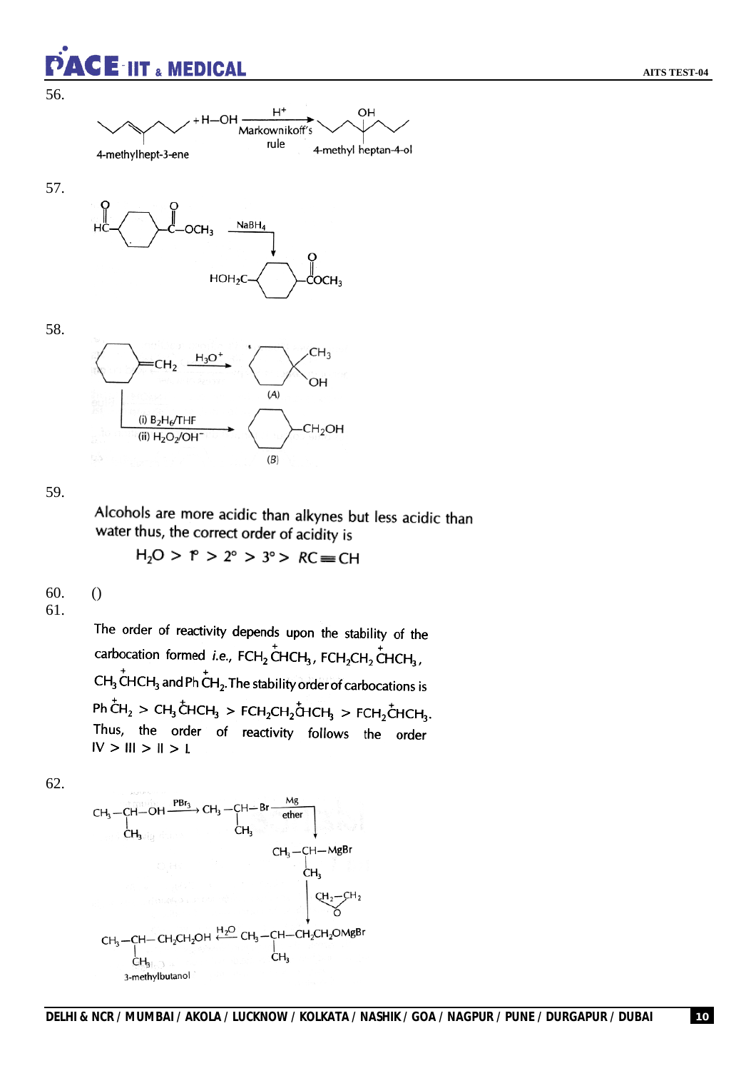

56.



57.



58.



59.

Alcohols are more acidic than alkynes but less acidic than water thus, the correct order of acidity is

 $H_2O > P > 2^\circ > 3^\circ > RC \equiv CH$ 

60. ()

61.

The order of reactivity depends upon the stability of the carbocation formed *i.e.*,  $FCH_2$ CHCH<sub>3</sub>,  $FCH_2CH_2CH_2$ CHCH<sub>3</sub>,  $CH<sub>3</sub>$  CHCH<sub>3</sub> and Ph CH<sub>2</sub>. The stability order of carbocations is  $Ph\,$ CH<sub>2</sub> > CH<sub>3</sub> CHCH<sub>3</sub> > FCH<sub>2</sub>CH<sub>2</sub> CHCH<sub>3</sub> > FCH<sub>2</sub> CHCH<sub>3</sub>. Thus, the order of reactivity follows the order  $IV > III > II > L$ 

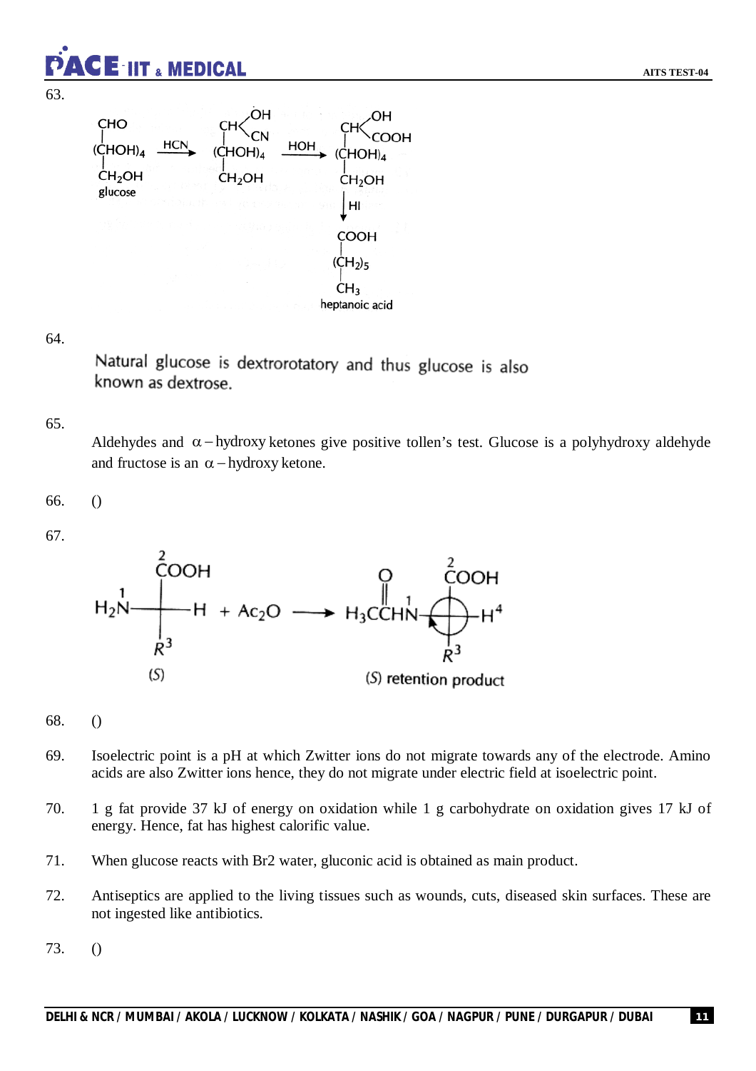

**AITS TEST-04**



#### 64.

Natural glucose is dextrorotatory and thus glucose is also known as dextrose.

#### 65.

Aldehydes and  $\alpha$ -hydroxy ketones give positive tollen's test. Glucose is a polyhydroxy aldehyde and fructose is an  $\alpha$  -hydroxy ketone.

66. ()

67.



#### 68. ()

- 69. Isoelectric point is a pH at which Zwitter ions do not migrate towards any of the electrode. Amino acids are also Zwitter ions hence, they do not migrate under electric field at isoelectric point.
- 70. 1 g fat provide 37 kJ of energy on oxidation while 1 g carbohydrate on oxidation gives 17 kJ of energy. Hence, fat has highest calorific value.
- 71. When glucose reacts with Br2 water, gluconic acid is obtained as main product.
- 72. Antiseptics are applied to the living tissues such as wounds, cuts, diseased skin surfaces. These are not ingested like antibiotics.
- 73. ()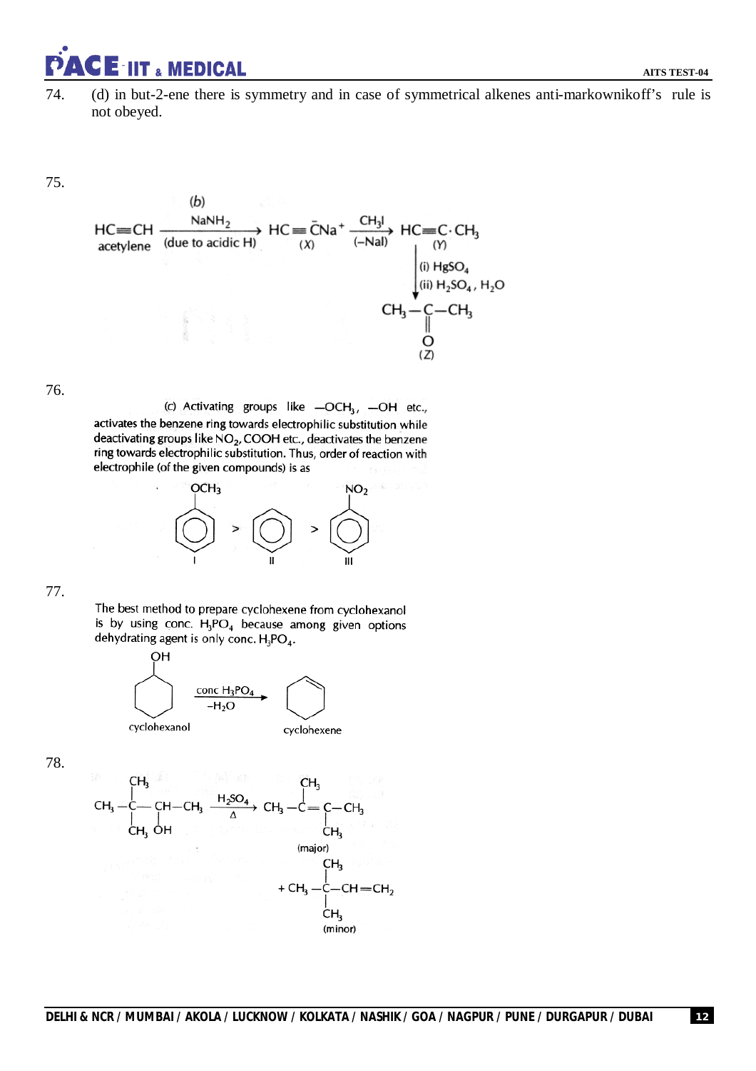

74. (d) in but-2-ene there is symmetry and in case of symmetrical alkenes anti-markownikoff's rule is not obeyed.

75.



76.

(c) Activating groups like -OCH<sub>3</sub>, -OH etc., activates the benzene ring towards electrophilic substitution while deactivating groups like NO<sub>2</sub>, COOH etc., deactivates the benzene ring towards electrophilic substitution. Thus, order of reaction with electrophile (of the given compounds) is as



77.

The best method to prepare cyclohexene from cyclohexanol is by using conc.  $H_3PO_4$  because among given options dehydrating agent is only conc.  $H_3PO_4$ .



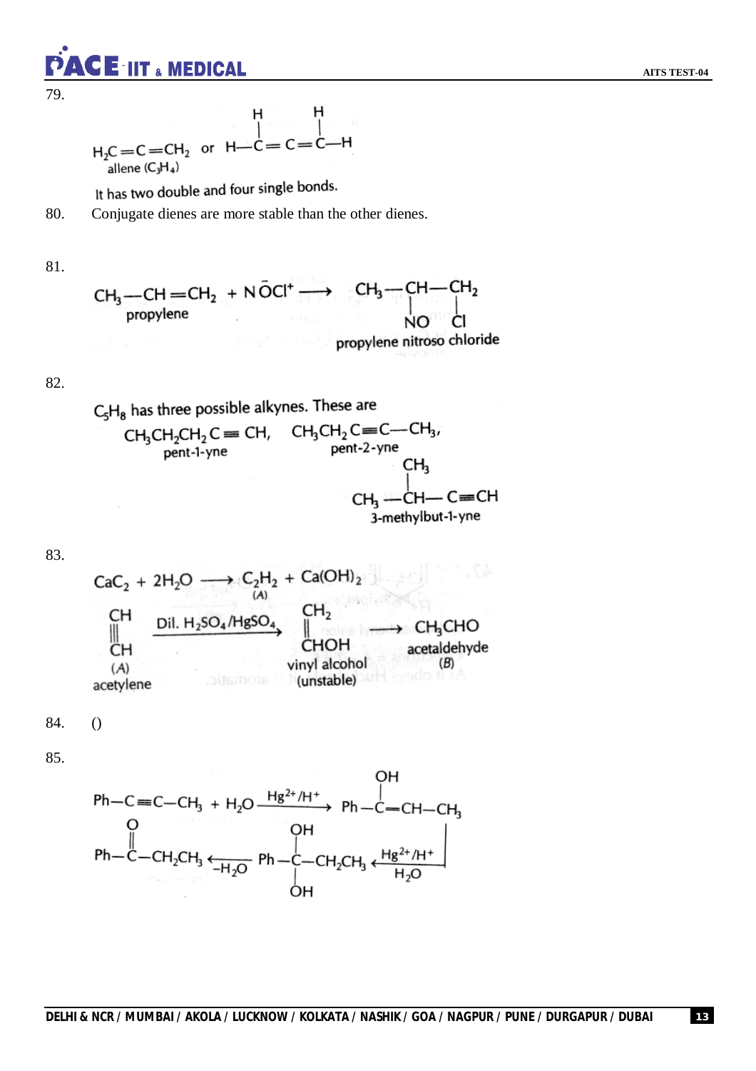CE-IIT & MEDICAL

79.

$$
H \n\begin{array}{c}\nH \n\downarrow \\
H_2C = C = CH_2 \text{ or } H \rightarrow C = C = C \rightarrow H \\
\text{allene } (C_3H_4)\n\end{array}
$$

It has two double and four single bonds.

80. Conjugate dienes are more stable than the other dienes.

81.

$$
CH_3-CH=CH_2 + N\bar{O}Cl^+ \longrightarrow CH_3-CH-CH_2
$$
\npropylene

\npropylene

\npropylene

\npropylene

82.

 $C_5H_8$  has three possible alkynes. These are

$$
\begin{array}{cccc}\nCH_3CH_2CH_2C &= CH, & CH_3CH_2C = C - CH_3, \\
 & \quad \text{pent-1-yne} & \quad \text{C}H_3 \\
 & \quad \text{C}H_3 & \quad \text{C}H_4 \\
 & \quad \text{C}H_3 & \quad \text{C}H_1 - C = CH \\
 & \quad \text{3-methylbut-1-yne}\n\end{array}
$$

83.

$$
CaC2 + 2H2O \longrightarrow C2H2 + Ca(OH)2
$$
\n
$$
CH
$$
\n
$$
CH
$$
\n
$$
CH
$$
\n
$$
CH
$$
\n
$$
CH
$$
\n
$$
CH
$$
\n
$$
CH
$$
\n
$$
CH
$$
\n
$$
CHOH
$$
\n
$$
CHOH
$$
\n
$$
CHOH
$$
\n
$$
CHOH
$$
\n
$$
CH3CHO
$$
\n
$$
CHOH
$$
\n
$$
CHOH
$$
\n
$$
CHOH
$$
\n
$$
CHOH
$$
\n
$$
CHOH
$$
\n
$$
CHOH
$$
\n
$$
CHOH
$$
\n
$$
CHOH
$$
\n
$$
CHOH
$$
\n
$$
CHOH
$$
\n
$$
CHOH
$$
\n
$$
CHOH
$$
\n
$$
CHOH
$$
\n
$$
CHOH
$$
\n
$$
CHOH
$$
\n
$$
CHOH
$$
\n
$$
CHOH
$$
\n
$$
CHOH
$$
\n
$$
CHOH
$$
\n
$$
CHOH
$$
\n
$$
CHOH
$$
\n
$$
CHOH
$$
\n
$$
CHOH
$$
\n
$$
CHOH
$$
\n
$$
CHOH
$$
\n
$$
CHOH
$$
\n
$$
CHOH
$$
\n
$$
CHOH
$$
\n
$$
CHOH
$$
\n
$$
CHOH
$$
\n
$$
CHOH
$$
\n
$$
CHOH
$$
\n
$$
CHOH
$$
\n
$$
CHOH
$$
\n
$$
CHOH
$$
\n
$$
CHOH
$$
\n
$$
CHOH
$$
\n
$$
CHOH
$$
\n
$$
CHOH
$$
\n
$$
CHOH
$$
\n
$$
CHOH
$$
\n
$$
CHOH
$$
\n<math display="</math>

84. ()

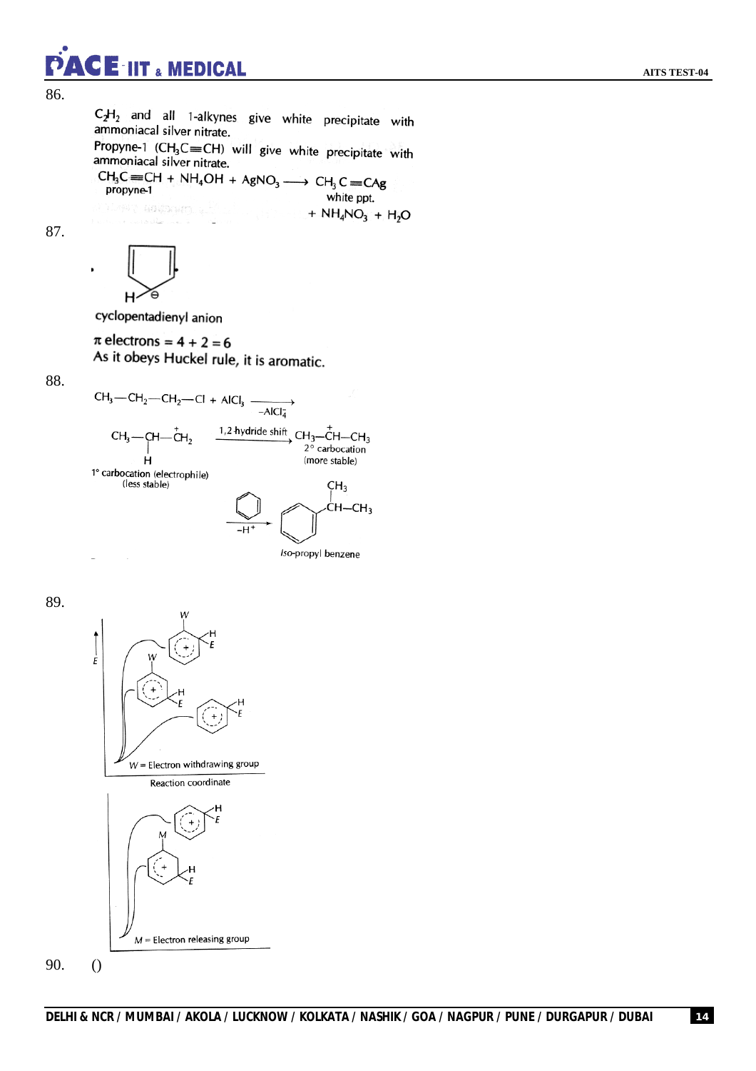### ACE IIT & MEDICAL

86.

 $C_2H_2$  and all 1-alkynes give white precipitate with ammoniacal silver nitrate. Propyne-1  $(CH_3C \equiv CH)$  will give white precipitate with ammoniacal silver nitrate.  $CH_3C = CH + NH_4OH + AgNO_3 \longrightarrow CH_3C = CAg$ <br>propyne-1 propyne-1 white ppt. ) in the comparison  $\varphi^2$ +  $NH_4NO_3$  +  $H_2O$ 

87.



cyclopentadienyl anion

ansile an i

 $\pi$  electrons = 4 + 2 = 6 As it obeys Huckel rule, it is aromatic.

88.



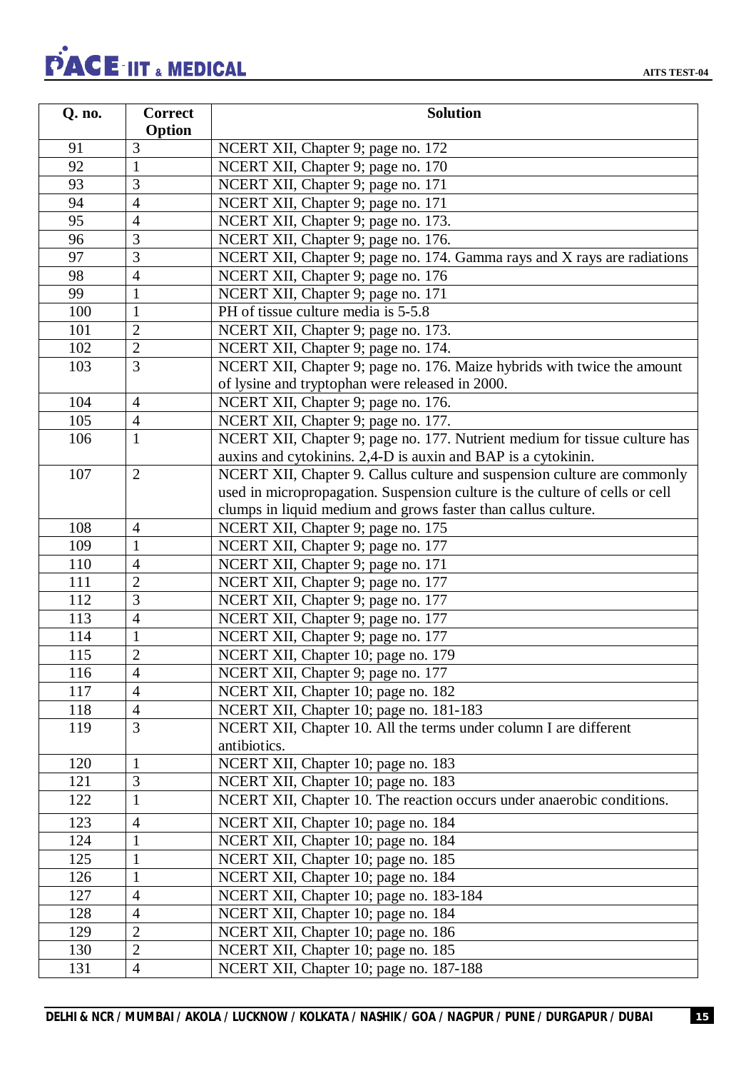# PACE IIT & MEDICAL

| Q. no. | <b>Correct</b> | <b>Solution</b>                                                              |
|--------|----------------|------------------------------------------------------------------------------|
|        | Option         |                                                                              |
| 91     | 3              | NCERT XII, Chapter 9; page no. 172                                           |
| 92     | $\mathbf{1}$   | NCERT XII, Chapter 9; page no. 170                                           |
| 93     | 3              | NCERT XII, Chapter 9; page no. 171                                           |
| 94     | 4              | NCERT XII, Chapter 9; page no. 171                                           |
| 95     | $\overline{4}$ | NCERT XII, Chapter 9; page no. 173.                                          |
| 96     | 3              | NCERT XII, Chapter 9; page no. 176.                                          |
| 97     | 3              | NCERT XII, Chapter 9; page no. 174. Gamma rays and X rays are radiations     |
| 98     | 4              | NCERT XII, Chapter 9; page no. 176                                           |
| 99     | 1              | NCERT XII, Chapter 9; page no. 171                                           |
| 100    | $\mathbf{1}$   | PH of tissue culture media is 5-5.8                                          |
| 101    | $\overline{2}$ | NCERT XII, Chapter 9; page no. 173.                                          |
| 102    | $\overline{2}$ | NCERT XII, Chapter 9; page no. 174.                                          |
| 103    | 3              | NCERT XII, Chapter 9; page no. 176. Maize hybrids with twice the amount      |
|        |                | of lysine and tryptophan were released in 2000.                              |
| 104    | $\overline{4}$ | NCERT XII, Chapter 9; page no. 176.                                          |
| 105    | $\overline{4}$ | NCERT XII, Chapter 9; page no. 177.                                          |
| 106    | $\mathbf{1}$   | NCERT XII, Chapter 9; page no. 177. Nutrient medium for tissue culture has   |
|        |                | auxins and cytokinins. 2,4-D is auxin and BAP is a cytokinin.                |
| 107    | $\overline{2}$ | NCERT XII, Chapter 9. Callus culture and suspension culture are commonly     |
|        |                | used in micropropagation. Suspension culture is the culture of cells or cell |
|        |                | clumps in liquid medium and grows faster than callus culture.                |
| 108    | $\overline{4}$ | NCERT XII, Chapter 9; page no. 175                                           |
| 109    | 1              | NCERT XII, Chapter 9; page no. 177                                           |
| 110    | 4              | NCERT XII, Chapter 9; page no. 171                                           |
| 111    | $\overline{2}$ | NCERT XII, Chapter 9; page no. 177                                           |
| 112    | 3              | NCERT XII, Chapter 9; page no. 177                                           |
| 113    | $\overline{4}$ | NCERT XII, Chapter 9; page no. 177                                           |
| 114    | $\mathbf{1}$   | NCERT XII, Chapter 9; page no. 177                                           |
| 115    | $\overline{2}$ | NCERT XII, Chapter 10; page no. 179                                          |
| 116    | $\overline{4}$ | NCERT XII, Chapter 9; page no. 177                                           |
| 117    | $\overline{4}$ | NCERT XII, Chapter 10; page no. 182                                          |
| 118    | $\overline{4}$ | NCERT XII, Chapter 10; page no. 181-183                                      |
| 119    | 3              | NCERT XII, Chapter 10. All the terms under column I are different            |
|        |                | antibiotics.                                                                 |
| 120    | $\mathbf{1}$   | NCERT XII, Chapter 10; page no. 183                                          |
| 121    | 3              | NCERT XII, Chapter 10; page no. 183                                          |
| 122    | $\mathbf{1}$   | NCERT XII, Chapter 10. The reaction occurs under anaerobic conditions.       |
| 123    | $\overline{4}$ | NCERT XII, Chapter 10; page no. 184                                          |
| 124    | $\mathbf{1}$   | NCERT XII, Chapter 10; page no. 184                                          |
| 125    | $\mathbf{1}$   | NCERT XII, Chapter 10; page no. 185                                          |
| 126    | $\mathbf{1}$   | NCERT XII, Chapter 10; page no. 184                                          |
| 127    | $\overline{4}$ | NCERT XII, Chapter 10; page no. 183-184                                      |
| 128    | $\overline{4}$ | NCERT XII, Chapter 10; page no. 184                                          |
| 129    | $\overline{2}$ | NCERT XII, Chapter 10; page no. 186                                          |
| 130    | $\overline{2}$ | NCERT XII, Chapter 10; page no. 185                                          |
| 131    | $\overline{4}$ | NCERT XII, Chapter 10; page no. 187-188                                      |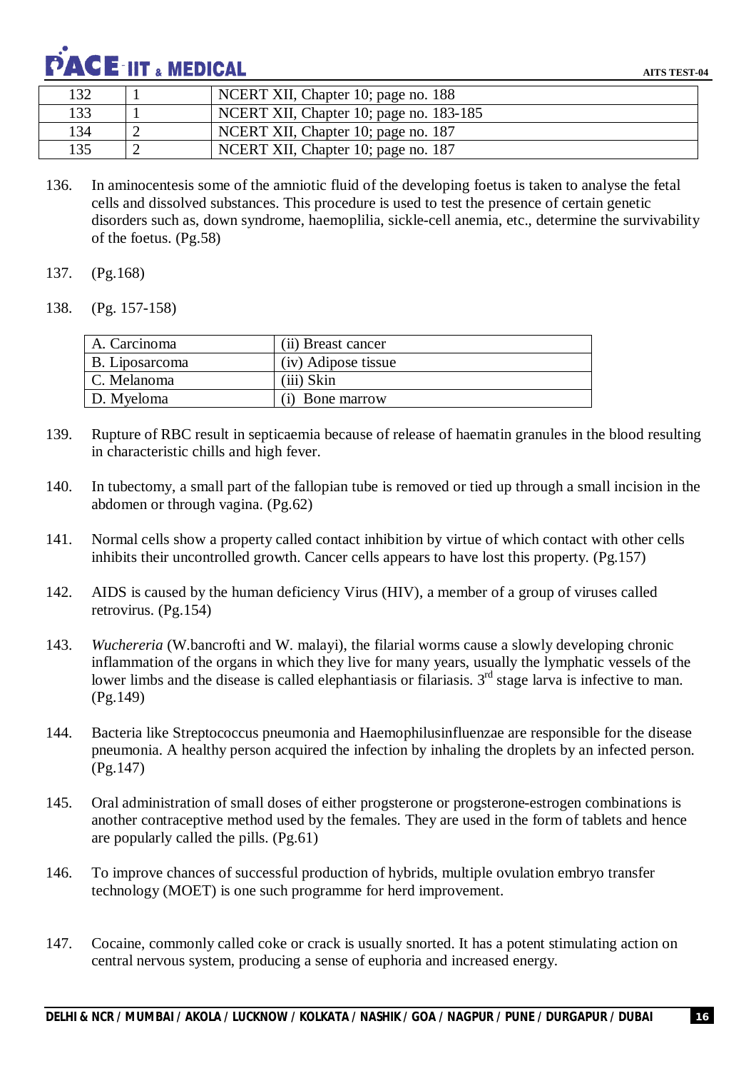

| 132 | NCERT XII, Chapter 10; page no. 188     |
|-----|-----------------------------------------|
| 133 | NCERT XII, Chapter 10; page no. 183-185 |
| 134 | NCERT XII, Chapter 10; page no. 187     |
| 135 | NCERT XII, Chapter 10; page no. 187     |

- 136. In aminocentesis some of the amniotic fluid of the developing foetus is taken to analyse the fetal cells and dissolved substances. This procedure is used to test the presence of certain genetic disorders such as, down syndrome, haemoplilia, sickle-cell anemia, etc., determine the survivability of the foetus. (Pg.58)
- 137. (Pg.168)
- 138. (Pg. 157-158)

| A. Carcinoma   | (ii) Breast cancer  |
|----------------|---------------------|
| B. Liposarcoma | (iv) Adipose tissue |
| C. Melanoma    | (iii) Skin          |
| D. Myeloma     | (i) Bone marrow     |

- 139. Rupture of RBC result in septicaemia because of release of haematin granules in the blood resulting in characteristic chills and high fever.
- 140. In tubectomy, a small part of the fallopian tube is removed or tied up through a small incision in the abdomen or through vagina. (Pg.62)
- 141. Normal cells show a property called contact inhibition by virtue of which contact with other cells inhibits their uncontrolled growth. Cancer cells appears to have lost this property. (Pg.157)
- 142. AIDS is caused by the human deficiency Virus (HIV), a member of a group of viruses called retrovirus. (Pg.154)
- 143. *Wuchereria* (W.bancrofti and W. malayi), the filarial worms cause a slowly developing chronic inflammation of the organs in which they live for many years, usually the lymphatic vessels of the lower limbs and the disease is called elephantiasis or filariasis.  $3<sup>rd</sup>$  stage larva is infective to man. (Pg.149)
- 144. Bacteria like Streptococcus pneumonia and Haemophilusinfluenzae are responsible for the disease pneumonia. A healthy person acquired the infection by inhaling the droplets by an infected person. (Pg.147)
- 145. Oral administration of small doses of either progsterone or progsterone-estrogen combinations is another contraceptive method used by the females. They are used in the form of tablets and hence are popularly called the pills. (Pg.61)
- 146. To improve chances of successful production of hybrids, multiple ovulation embryo transfer technology (MOET) is one such programme for herd improvement.
- 147. Cocaine, commonly called coke or crack is usually snorted. It has a potent stimulating action on central nervous system, producing a sense of euphoria and increased energy.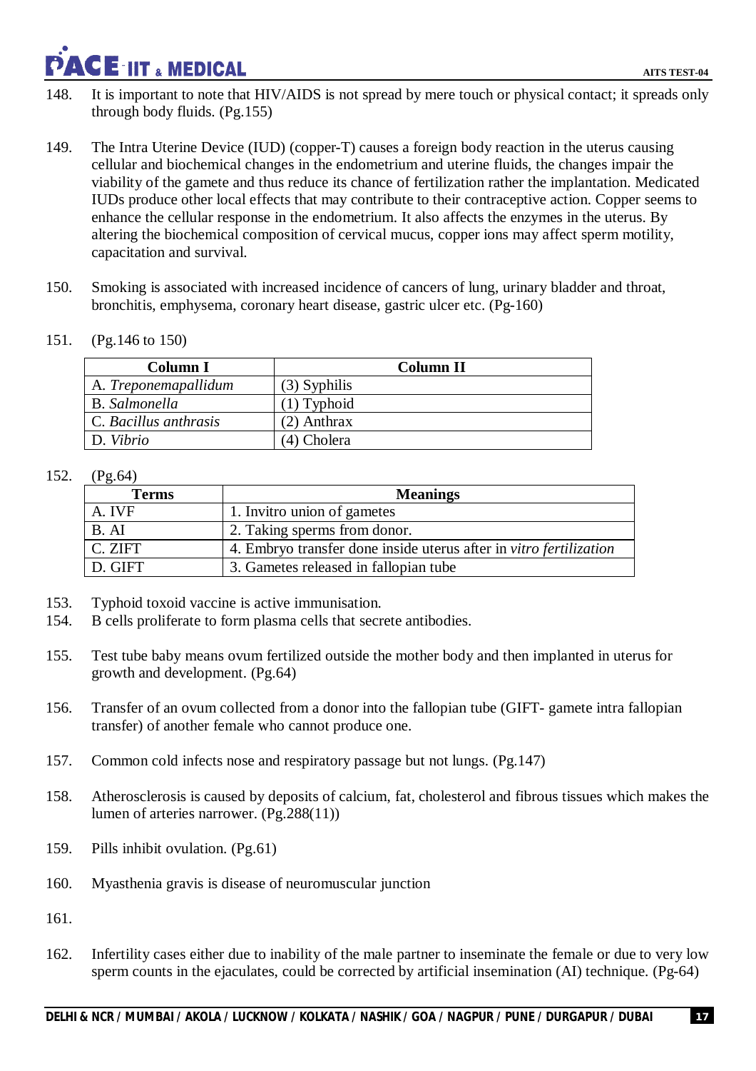### **ACE IIT & MEDICAL**

- 148. It is important to note that HIV/AIDS is not spread by mere touch or physical contact; it spreads only through body fluids. (Pg.155)
- 149. The Intra Uterine Device (IUD) (copper-T) causes a foreign body reaction in the uterus causing cellular and biochemical changes in the endometrium and uterine fluids, the changes impair the viability of the gamete and thus reduce its chance of fertilization rather the implantation. Medicated IUDs produce other local effects that may contribute to their contraceptive action. Copper seems to enhance the cellular response in the endometrium. It also affects the enzymes in the uterus. By altering the biochemical composition of cervical mucus, copper ions may affect sperm motility, capacitation and survival.
- 150. Smoking is associated with increased incidence of cancers of lung, urinary bladder and throat, bronchitis, emphysema, coronary heart disease, gastric ulcer etc. (Pg-160)
- 151. (Pg.146 to 150)

| Column I              | Column II      |
|-----------------------|----------------|
| A. Treponemapallidum  | $(3)$ Syphilis |
| <b>B.</b> Salmonella  | $(1)$ Typhoid  |
| C. Bacillus anthrasis | $(2)$ Anthrax  |
| D. Vibrio             | (4) Cholera    |

### 152. (Pg.64)

| <b>Terms</b> | <b>Meanings</b>                                                    |
|--------------|--------------------------------------------------------------------|
| A. IVF       | 1. Invitro union of gametes                                        |
| B. AI        | 2. Taking sperms from donor.                                       |
| C. ZIFT      | 4. Embryo transfer done inside uterus after in vitro fertilization |
| D. GIFT      | 3. Gametes released in fallopian tube                              |

- 153. Typhoid toxoid vaccine is active immunisation.
- 154. B cells proliferate to form plasma cells that secrete antibodies.
- 155. Test tube baby means ovum fertilized outside the mother body and then implanted in uterus for growth and development. (Pg.64)
- 156. Transfer of an ovum collected from a donor into the fallopian tube (GIFT- gamete intra fallopian transfer) of another female who cannot produce one.
- 157. Common cold infects nose and respiratory passage but not lungs. (Pg.147)
- 158. Atherosclerosis is caused by deposits of calcium, fat, cholesterol and fibrous tissues which makes the lumen of arteries narrower. (Pg.288(11))
- 159. Pills inhibit ovulation. (Pg.61)
- 160. Myasthenia gravis is disease of neuromuscular junction
- 161.
- 162. Infertility cases either due to inability of the male partner to inseminate the female or due to very low sperm counts in the ejaculates, could be corrected by artificial insemination (AI) technique. (Pg-64)